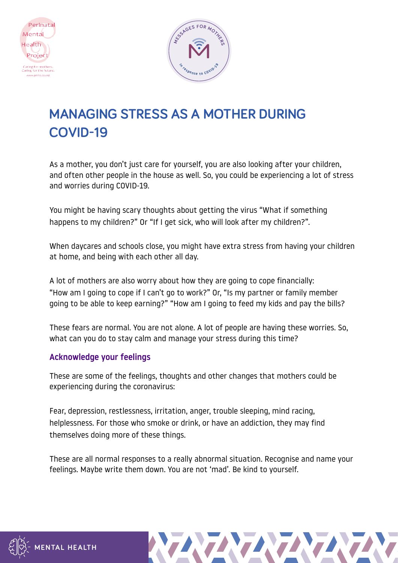



# **MANAGING STRESS AS A MOTHER DURING COVID-19**

As a mother, you don't just care for yourself, you are also looking after your children, and often other people in the house as well. So, you could be experiencing a lot of stress and worries during COVID-19.

You might be having scary thoughts about getting the virus "What if something happens to my children?" Or "If I get sick, who will look after my children?".

When daycares and schools close, you might have extra stress from having your children at home, and being with each other all day.

A lot of mothers are also worry about how they are going to cope financially: "How am I going to cope if I can't go to work?" Or, "Is my partner or family member going to be able to keep earning?" "How am I going to feed my kids and pay the bills?

These fears are normal. You are not alone. A lot of people are having these worries. So, what can you do to stay calm and manage your stress during this time?

# Acknowledge your feelings

These are some of the feelings, thoughts and other changes that mothers could be experiencing during the coronavirus:

Fear, depression, restlessness, irritation, anger, trouble sleeping, mind racing, helplessness. For those who smoke or drink, or have an addiction, they may find themselves doing more of these things.

These are all normal responses to a really abnormal situation. Recognise and name your feelings. Maybe write them down. You are not 'mad'. Be kind to yourself.



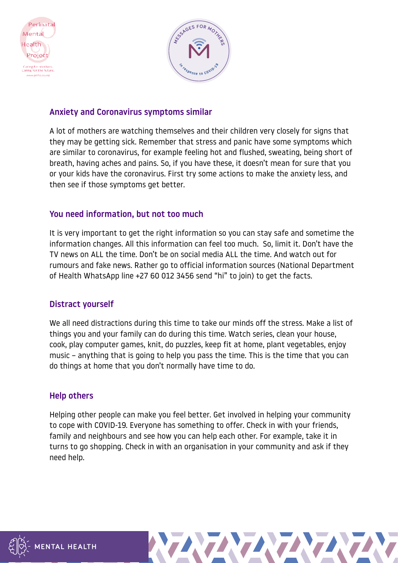



#### Anxiety and Coronavirus symptoms similar

A lot of mothers are watching themselves and their children very closely for signs that they may be getting sick. Remember that stress and panic have some symptoms which are similar to coronavirus, for example feeling hot and flushed, sweating, being short of breath, having aches and pains. So, if you have these, it doesn't mean for sure that you or your kids have the coronavirus. First try some actions to make the anxiety less, and then see if those symptoms get better.

#### You need information, but not too much

It is very important to get the right information so you can stay safe and sometime the information changes. All this information can feel too much. So, limit it. Don't have the TV news on ALL the time. Don't be on social media ALL the time. And watch out for rumours and fake news. Rather go to official information sources (National Department of Health WhatsApp line +27 60 012 3456 send "hi" to join) to get the facts.

#### Distract yourself

We all need distractions during this time to take our minds off the stress. Make a list of things you and your family can do during this time. Watch series, clean your house, cook, play computer games, knit, do puzzles, keep fit at home, plant vegetables, enjoy music – anything that is going to help you pass the time. This is the time that you can do things at home that you don't normally have time to do.

# Help others

Helping other people can make you feel better. Get involved in helping your community to cope with COVID-19. Everyone has something to offer. Check in with your friends, family and neighbours and see how you can help each other. For example, take it in turns to go shopping. Check in with an organisation in your community and ask if they need help.